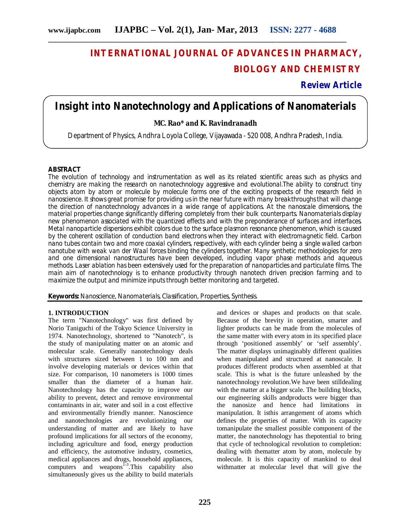# **INTERNATIONAL JOURNAL OF ADVANCES IN PHARMACY, BIOLOGY AND CHEMISTRY**

**Review Article**

# **Insight into Nanotechnology and Applications of Nanomaterials**

# **MC. Rao\* and K. Ravindranadh**

Department of Physics, Andhra Loyola College, Vijayawada - 520 008, Andhra Pradesh, India.

#### **ABSTRACT**

The evolution of technology and instrumentation as well as its related scientific areas such as physics and chemistry are making the research on nanotechnology aggressive and evolutional.The ability to construct tiny objects atom by atom or molecule by molecule forms one of the exciting prospects of the research field in nanoscience. It shows great promise for providing us in the near future with many breakthroughs that will change the direction of nanotechnology advances in a wide range of applications. At the nanoscale dimensions, the material properties change significantly differing completely from their bulk counterparts. Nanomaterials display new phenomenon associated with the quantized effects and with the preponderance of surfaces and interfaces. Metal nanoparticle dispersions exhibit colors due to the surface plasmon resonance phenomenon, which is caused by the coherent oscillation of conduction band electrons when they interact with electromagnetic field. Carbon nano tubes contain two and more coaxial cylinders, respectively, with each cylinder being a single walled carbon nanotube with weak van der Waal forces binding the cylinders together. Many synthetic methodologies for zero and one dimensional nanostructures have been developed, including vapor phase methods and aqueous methods. Laser ablation has been extensively used for the preparation of nanoparticles and particulate films. The main aim of nanotechnology is to enhance productivity through nanotech driven precision farming and to maximize the output and minimize inputs through better monitoring and targeted.

**Keywords:** Nanoscience, Nanomaterials, Classification, Properties, Synthesis.

## **1. INTRODUCTION**

The term "Nanotechnology" was first defined by Norio Taniguchi of the Tokyo Science University in 1974. Nanotechnology, shortened to "Nanotech", is the study of manipulating matter on an atomic and molecular scale. Generally nanotechnology deals with structures sized between 1 to 100 nm and involve developing materials or devices within that size. For comparison, 10 nanometers is 1000 times smaller than the diameter of a human hair. Nanotechnology has the capacity to improve our ability to prevent, detect and remove environmental contaminants in air, water and soil in a cost effective and environmentally friendly manner. Nanoscience and nanotechnologies are revolutionizing our understanding of matter and are likely to have profound implications for all sectors of the economy, including agriculture and food, energy production and efficiency, the automotive industry, cosmetics, medical appliances and drugs, household appliances, computers and weapons<sup> $1-3$ </sup>. This capability also simultaneously gives us the ability to build materials

and devices or shapes and products on that scale. Because of the brevity in operation, smarter and lighter products can be made from the molecules of the same matter with every atom in its specified place through 'positioned assembly' or 'self assembly'. The matter displays unimaginably different qualities when manipulated and structured at nanoscale. It produces different products when assembled at that scale. This is what is the future unleashed by the nanotechnology revolution.We have been stilldealing with the matter at a bigger scale. The building blocks, our engineering skills andproducts were bigger than the nanosize and hence had limitations in manipulation. It isthis arrangement of atoms which defines the properties of matter. With its capacity tomanipulate the smallest possible component of the matter, the nanotechnology has thepotential to bring that cycle of technological revolution to completion: dealing with thematter atom by atom, molecule by molecule. It is this capacity of mankind to deal withmatter at molecular level that will give the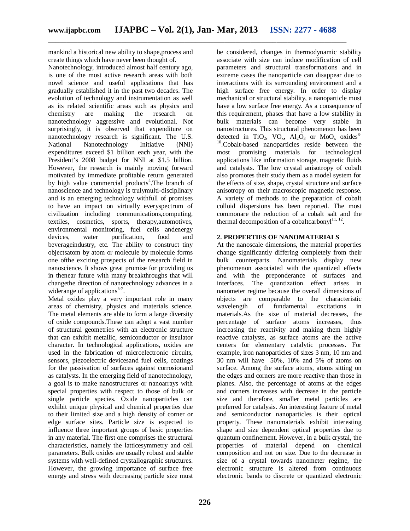mankind a historical new ability to shape,process and create things which have never been thought of.

Nanotechnology, introduced almost half century ago, is one of the most active research areas with both novel science and useful applications that has gradually established it in the past two decades. The evolution of technology and instrumentation as well as its related scientific areas such as physics and chemistry are making the research on nanotechnology aggressive and evolutional. Not surprisingly, it is observed that expenditure on nanotechnology research is significant. The U.S. National Nanotechnology Initiative (NNI) expenditures exceed \$1 billion each year, with the President's 2008 budget for NNI at \$1.5 billion. However, the research is mainly moving forward motivated by immediate profitable return generated by high value commercial products<sup>4</sup>. The branch of nanoscience and technology is trulymulti-disciplinary and is an emerging technology withfull of promises to have an impact on virtually everyspectrum of civilization including communications,computing, textiles, cosmetics, sports, therapy,automotives, environmental monitoring, fuel cells andenergy devices, water purification, food and beverageindustry, etc. The ability to construct tiny objectsatom by atom or molecule by molecule forms one ofthe exciting prospects of the research field in nanoscience. It shows great promise for providing us in thenear future with many breakthroughs that will changethe direction of nanotechnology advances in a widerange of applications<sup>5-7</sup>.

Metal oxides play a very important role in many areas of chemistry, physics and materials science. The metal elements are able to form a large diversity of oxide compounds.These can adopt a vast number of structural geometries with an electronic structure that can exhibit metallic, semiconductor or insulator character. In technological applications, oxides are used in the fabrication of microelectronic circuits, sensors, piezoelectric devicesand fuel cells, coatings for the passivation of surfaces against corrosionand as catalysts. In the emerging field of nanotechnology, a goal is to make nanostructures or nanoarrays with special properties with respect to those of bulk or single particle species. Oxide nanoparticles can exhibit unique physical and chemical properties due to their limited size and a high density of corner or edge surface sites. Particle size is expected to influence three important groups of basic properties in any material. The first one comprises the structural characteristics, namely the latticesymmetry and cell parameters. Bulk oxides are usually robust and stable systems with well-defined crystallographic structures. However, the growing importance of surface free energy and stress with decreasing particle size must

be considered, changes in thermodynamic stability associate with size can induce modification of cell parameters and structural transformations and in extreme cases the nanoparticle can disappear due to interactions with its surrounding environment and a high surface free energy. In order to display mechanical or structural stability, a nanoparticle must have a low surface free energy. As a consequence of this requirement, phases that have a low stability in bulk materials can become very stable in nanostructures. This structural phenomenon has been detected in TiO<sub>2</sub>, VO<sub>x</sub>, Al<sub>2</sub>O<sub>3</sub> or MoO<sub>x</sub> oxides<sup>8-</sup> <sup>10</sup>.Cobalt-based nanoparticles reside between the most promising materials for technological applications like information storage, magnetic fluids and catalysts. The low crystal anisotropy of cobalt also promotes their study them as a model system for the effects of size, shape, crystal structure and surface anisotropy on their macroscopic magnetic response. A variety of methods to the preparation of cobalt colloid dispersions has been reported. The most commonare the reduction of a cobalt salt and the thermal decomposition of a cobaltcarbony $l^{11, 12}$ .

# **2. PROPERTIES OF NANOMATERIALS**

At the nanoscale dimensions, the material properties change significantly differing completely from their bulk counterparts. Nanomaterials display new phenomenon associated with the quantized effects and with the preponderance of surfaces and interfaces. The quantization effect arises in nanometer regime because the overall dimensions of objects are comparable to the characteristic wavelength of fundamental excitations in materials.As the size of material decreases, the percentage of surface atoms increases, thus increasing the reactivity and making them highly reactive catalysts, as surface atoms are the active centers for elementary catalytic processes. For example, iron nanoparticles of sizes 3 nm, 10 nm and 30 nm will have 50%, 10% and 5% of atoms on surface. Among the surface atoms, atoms sitting on the edges and corners are more reactive than those in planes. Also, the percentage of atoms at the edges and corners increases with decrease in the particle size and therefore, smaller metal particles are preferred for catalysis. An interesting feature of metal and semiconductor nanoparticles is their optical property. These nanomaterials exhibit interesting shape and size dependent optical properties due to quantum confinement. However, in a bulk crystal, the properties of material depend on chemical composition and not on size. Due to the decrease in size of a crystal towards nanometer regime, the electronic structure is altered from continuous electronic bands to discrete or quantized electronic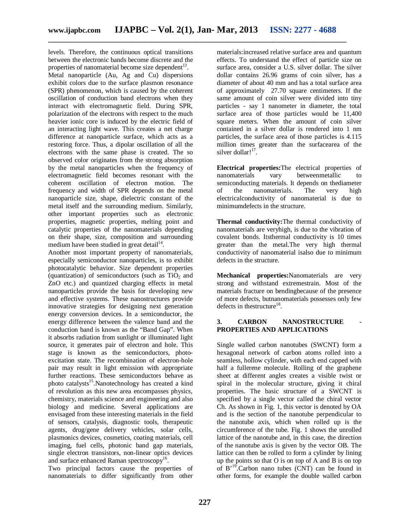levels. Therefore, the continuous optical transitions between the electronic bands become discrete and the properties of nanomaterial become size dependent<sup>13</sup>.

Metal nanoparticle (Au, Ag and Cu) dispersions exhibit colors due to the surface plasmon resonance (SPR) phenomenon, which is caused by the coherent oscillation of conduction band electrons when they interact with electromagnetic field. During SPR, polarization of the electrons with respect to the much heavier ionic core is induced by the electric field of an interacting light wave. This creates a net charge difference at nanoparticle surface, which acts as a restoring force. Thus, a dipolar oscillation of all the electrons with the same phase is created. The so observed color originates from the strong absorption by the metal nanoparticles when the frequency of electromagnetic field becomes resonant with the coherent oscillation of electron motion. The frequency and width of SPR depends on the metal nanoparticle size, shape, dielectric constant of the metal itself and the surrounding medium. Similarly, other important properties such as electronic properties, magnetic properties, melting point and catalytic properties of the nanomaterials depending on their shape, size, composition and surrounding medium have been studied in great detail<sup>14</sup>.

Another most important property of nanomaterials, especially semiconductor nanoparticles, is to exhibit photocatalytic behavior. Size dependent properties (quantization) of semiconductors (such as  $TiO<sub>2</sub>$  and ZnO etc.) and quantized charging effects in metal nanoparticles provide the basis for developing new and effective systems. These nanostructures provide innovative strategies for designing next generation energy conversion devices. In a semiconductor, the energy difference between the valence band and the conduction band is known as the "Band Gap". When it absorbs radiation from sunlight or illuminated light source, it generates pair of electron and hole. This stage is known as the semiconductors, photoexcitation state. The recombination of electron-hole pair may result in light emission with appropriate further reactions. These semiconductors behave as photo catalysts<sup>15</sup>. Nanotechnology has created a kind of revolution as this new area encompasses physics, chemistry, materials science and engineering and also biology and medicine. Several applications are envisaged from these interesting materials in the field of sensors, catalysis, diagnostic tools, therapeutic agents, drug/gene delivery vehicles, solar cells, plasmonics devices, cosmetics, coating materials, cell imaging, fuel cells, photonic band gap materials, single electron transistors, non-linear optics devices and surface enhanced Raman spectroscopy<sup>16</sup>.

Two principal factors cause the properties of nanomaterials to differ significantly from other materials:increased relative surface area and quantum effects. To understand the effect of particle size on surface area, consider a U.S. silver dollar. The silver dollar contains 26.96 grams of coin silver, has a diameter of about 40 mm and has a total surface area of approximately 27.70 square centimeters. If the same amount of coin silver were divided into tiny particles - say 1 nanometer in diameter, the total surface area of those particles would be 11,400 square meters. When the amount of coin silver contained in a silver dollar is rendered into 1 nm particles, the surface area of those particles is 4.115 million times greater than the surfacearea of the silver dollar!<sup>17</sup>.

**Electrical properties:**The electrical properties of nanomaterials vary betweenmetallic to semiconducting materials. It depends on thediameter of the nanomaterials. The very high electricalconductivity of nanomaterial is due to minimumdefects in the structure.

**Thermal conductivity:**The thermal conductivity of nanomaterials are veryhigh, is due to the vibration of covalent bonds. Itsthermal conductivity is 10 times greater than the metal.The very high thermal conductivity of nanomaterial isalso due to minimum defects in the structure.

**Mechanical properties:**Nanomaterials are very strong and withstand extremestrain. Most of the materials fracture on bendingbecause of the presence of more defects, butnanomaterials possesses only few defects in the structure<sup>18</sup>.

## **3. CARBON NANOSTRUCTURE PROPERTIES AND APPLICATIONS**

Single walled carbon nanotubes (SWCNT) form a hexagonal network of carbon atoms rolled into a seamless, hollow cylinder, with each end capped with half a fullerene molecule. Rolling of the graphene sheet at different angles creates a visible twist or spiral in the molecular structure, giving it chiral properties. The basic structure of a SWCNT is specified by a single vector called the chiral vector Ch. As shown in Fig. 1, this vector is denoted by OA and is the section of the nanotube perpendicular to the nanotube axis, which when rolled up is the circumference of the tube. Fig. 1 shows the unrolled lattice of the nanotube and, in this case, the direction of the nanotube axis is given by the vector OB. The lattice can then be rolled to form a cylinder by lining up the points so that O is on top of A and B is on top of  $B<sup>19</sup>$ . Carbon nano tubes (CNT) can be found in other forms, for example the double walled carbon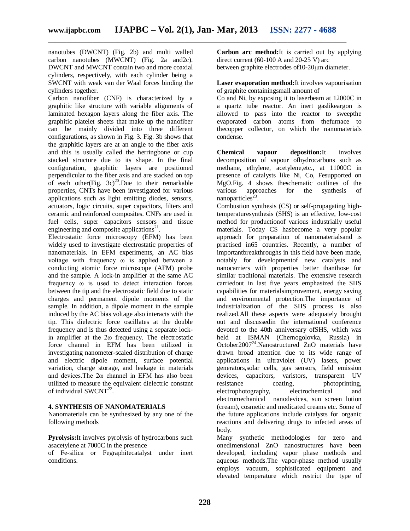nanotubes (DWCNT) (Fig. 2b) and multi walled carbon nanotubes (MWCNT) (Fig. 2a and2c). DWCNT and MWCNT contain two and more coaxial cylinders, respectively, with each cylinder being a SWCNT with weak van der Waal forces binding the cylinders together.

Carbon nanofiber (CNF) is characterized by a graphitic like structure with variable alignments of laminated hexagon layers along the fiber axis. The graphitic platelet sheets that make up the nanofiber can be mainly divided into three different configurations, as shown in Fig. 3. Fig. 3b shows that the graphitic layers are at an angle to the fiber axis and this is usually called the herringbone or cup stacked structure due to its shape. In the final configuration, graphitic layers are positioned perpendicular to the fiber axis and are stacked on top of each other(Fig.  $3c)^{20}$ . Due to their remarkable properties, CNTs have been investigated for various applications such as light emitting diodes, sensors, actuators, logic circuits, super capacitors, filters and ceramic and reinforced composites. CNFs are used in fuel cells, super capacitors sensors and tissue engineering and composite applications<sup>21</sup>.

Electrostatic force microscopy (EFM) has been widely used to investigate electrostatic properties of nanomaterials. In EFM experiments, an AC bias voltage with frequency ω is applied between a conducting atomic force microscope (AFM) probe and the sample. A lock-in amplifier at the same AC frequency ω is used to detect interaction forces between the tip and the electrostatic field due to static charges and permanent dipole moments of the sample. In addition, a dipole moment in the sample induced by the AC bias voltage also interacts with the tip. This dielectric force oscillates at the double frequency and is thus detected using a separate lockin amplifier at the 2ω frequency. The electrostatic force channel in EFM has been utilized in investigating nanometer-scaled distribution of charge and electric dipole moment, surface potential variation, charge storage, and leakage in materials and devices.The 2ω channel in EFM has also been utilized to measure the equivalent dielectric constant of individual  $SWCNT^{22}$ .

#### **4. SYNTHESIS OF NANOMATERIALS**

Nanomaterials can be synthesized by any one of the following methods

**Pyrolysis:**It involves pyrolysis of hydrocarbons such asacetylene at 7000C in the presence

of Fe-silica or Fegraphitecatalyst under inert conditions.

**Carbon arc method:**It is carried out by applying direct current  $(60-100 \text{ A}$  and  $20-25 \text{ V})$  arc between graphite electrodes of10-20μm diameter.

**Laser evaporation method:**It involves vapourisation of graphite containingsmall amount of

Co and Ni, by exposing it to laserbeam at 12000C in a quartz tube reactor. An inert gaslikeargon is allowed to pass into the reactor to sweepthe evaporated carbon atoms from thefurnace to thecopper collector, on which the nanomaterials condense.

**Chemical vapour deposition:**It involves decomposition of vapour ofhydrocarbons such as methane, ethylene, acetylene,etc., at 11000C in presence of catalysts like Ni, Co, Fesupported on MgO.Fig. 4 shows the**s**chematic outlines of the various approaches for the synthesis of nanoparticles $^{23}$ .

Combustion synthesis (CS) or self-propagating hightemperaturesynthesis (SHS) is an effective, low-cost method for productionof various industrially useful materials. Today CS hasbecome a very popular approach for preparation of nanomaterialsand is practised in65 countries. Recently, a number of importantbreakthroughs in this field have been made, notably for developmentof new catalysts and nanocarriers with properties better thanthose for similar traditional materials. The extensive research carriedout in last five years emphasized the SHS capabilities for materialsimprovement, energy saving and environmental protection.The importance of industrialization of the SHS process is also realized.All these aspects were adequately brought out and discussedin the international conference devoted to the 40th anniversary ofSHS, which was held at ISMAN (Chernogolovka, Russia) in October2007<sup>24</sup>. Nanostructured ZnO materials have drawn broad attention due to its wide range of applications in ultraviolet (UV) lasers, power generators,solar cells, gas sensors, field emission devices, capacitors, varistors, transparent UV resistance coating, photoprinting, electrophotography, electrochemical and electromechanical nanodevices, sun screen lotion (cream), cosmetic and medicated creams etc. Some of the future applications include catalysts for organic reactions and delivering drugs to infected areas of body.

Many synthetic methodologies for zero and onedimensional ZnO nanostructures have been developed, including vapor phase methods and aqueous methods.The vapor-phase method usually employs vacuum, sophisticated equipment and elevated temperature which restrict the type of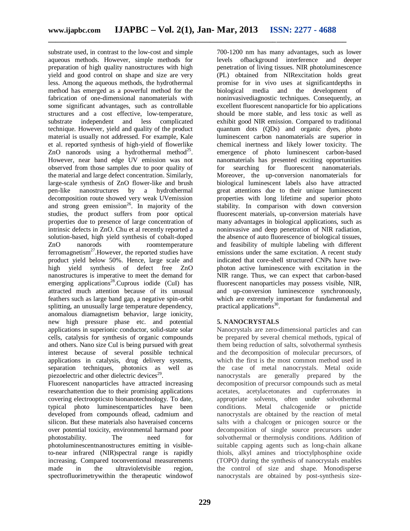substrate used, in contrast to the low-cost and simple aqueous methods. However, simple methods for preparation of high quality nanostructures with high yield and good control on shape and size are very less. Among the aqueous methods, the hydrothermal method has emerged as a powerful method for the fabrication of one-dimensional nanomaterials with some significant advantages, such as controllable structures and a cost effective, low-temperature, substrate independent and less complicated technique. However, yield and quality of the product material is usually not addressed. For example, Kale et al. reported synthesis of high-yield of flowerlike ZnO nanorods using a hydrothermal method<sup>25</sup>. However, near band edge UV emission was not observed from those samples due to poor quality of the material and large defect concentration. Similarly, large-scale synthesis of ZnO flower-like and brush pen-like nanostructures by a hydrothermal decomposition route showed very weak UVemission and strong green emission<sup>26</sup>. In majority of the studies, the product suffers from poor optical properties due to presence of large concentration of intrinsic defects in ZnO. Chu et al recently reported a solution-based, high yield synthesis of cobalt-doped<br>
ZnO nanorods with roomtemperature roomtemperature ferromagnetism<sup>27</sup>. However, the reported studies have product yield below 50%. Hence, large scale and high yield synthesis of defect free ZnO nanostructures is imperative to meet the demand for emerging applications<sup>28</sup>. Cuprous iodide (CuI) has attracted much attention because of its unusual feathers such as large band gap, a negative spin-orbit splitting, an unusually large temperature dependency, anomalous diamagnetism behavior, large ionicity, new high pressure phase etc. and potential applications in superionic conductor, solid-state solar cells, catalysis for synthesis of organic compounds and others. Nano size CuI is being pursued with great interest because of several possible technical applications in catalysis, drug delivery systems, separation techniques, photonics as well as piezoelectric and other dielectric devices<sup>29</sup>.

Fluorescent nanoparticles have attracted increasing researchattention due to their promising applications covering electroopticsto bionanotechnology. To date, typical photo luminescentparticles have been developed from compounds oflead, cadmium and silicon. But these materials also haveraised concerns over potential toxicity, environmental harmand poor photostability. The need for photoluminescentnanostructures emitting in visibleto-near infrared (NIR)spectral range is rapidly increasing. Compared toconventional measurements made in the ultravioletvisible region, spectrofluorimetrywithin the therapeutic windowof

700-1200 nm has many advantages, such as lower levels ofbackground interference and deeper penetration of living tissues. NIR photoluminescence (PL) obtained from NIRexcitation holds great promise for in vivo uses at significantdepths in biological media and the development of noninvasivediagnostic techniques. Consequently, an excellent fluorescent nanoparticle for bio applications should be more stable, and less toxic as well as exhibit good NIR emission. Compared to traditional quantum dots (QDs) and organic dyes, photo luminescent carbon nanomaterials are superior in chemical inertness and likely lower toxicity. The emergence of photo luminescent carbon-based nanomaterials has presented exciting opportunities for searching for fluorescent nanomaterials. Moreover, the up-conversion nanomaterials for biological luminescent labels also have attracted great attentions due to their unique luminescent properties with long lifetime and superior photo stability. In comparison with down conversion fluorescent materials, up-conversion materials have many advantages in biological applications, such as noninvasive and deep penetration of NIR radiation, the absence of auto fluorescence of biological tissues, and feasibility of multiple labeling with different emissions under the same excitation. A recent study indicated that core-shell structured CNPs have twophoton active luminescence with excitation in the NIR range. Thus, we can expect that carbon-based fluorescent nanoparticles may possess visible, NIR, and up-conversion luminescence synchronously, which are extremely important for fundamental and practical applications<sup>30</sup>.

# **5. NANOCRYSTALS**

Nanocrystals are zero-dimensional particles and can be prepared by several chemical methods, typical of them being reduction of salts, solvothermal synthesis and the decomposition of molecular precursors, of which the first is the most common method used in the case of metal nanocrystals. Metal oxide nanocrystals are generally prepared by the decomposition of precursor compounds such as metal acetates, acetylacetonates and cupferronates in appropriate solvents, often under solvothermal conditions. Metal chalcogenide or pnictide nanocrystals are obtained by the reaction of metal salts with a chalcogen or pnicogen source or the decomposition of single source precursors under solvothermal or thermolysis conditions. Addition of suitable capping agents such as long-chain alkane thiols, alkyl amines and trioctylphosphine oxide (TOPO) during the synthesis of nanocrystals enables the control of size and shape. Monodisperse nanocrystals are obtained by post-synthesis size-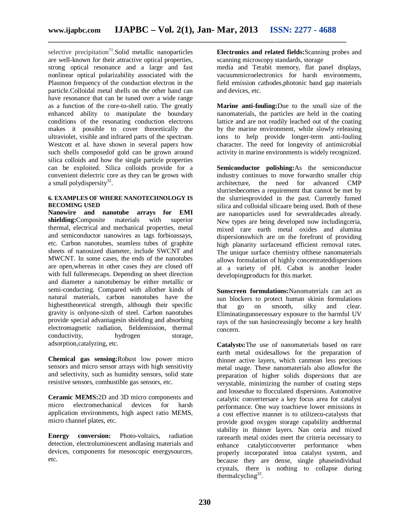selective precipitation<sup>31</sup>. Solid metallic nanoparticles are well-known for their attractive optical properties, strong optical resonance and a large and fast nonlinear optical polarizability associated with the Plasmon frequency of the conduction electron in the particle.Colloidal metal shells on the other hand can have resonance that can be tuned over a wide range as a function of the core-to-shell ratio. The greatly enhanced ability to manipulate the boundary conditions of the resonating conduction electrons makes it possible to cover theoretically the ultraviolet, visible and infrared parts of the spectrum. Westcott et al. have shown in several papers how such shells composedof gold can be grown around silica colloids and how the single particle properties can be exploited. Silica colloids provide for a convenient dielectric core as they can be grown with a small polydispersity<sup>32</sup>.

#### **6. EXAMPLES OF WHERE NANOTECHNOLOGY IS BECOMING USED**

**Nanowire and nanotube arrays for EMI shielding:**Composite materials with superior thermal, electrical and mechanical properties, metal and semiconductor nanowires as tags forbioassays, etc. Carbon nanotubes, seamless tubes of graphite sheets of nanosized diameter, include SWCNT and MWCNT. In some cases, the ends of the nanotubes are open,whereas in other cases they are closed off with full fullerenecaps. Depending on sheet direction and diameter a nanotubemay be either metallic or semi-conducting. Compared with allother kinds of natural materials, carbon nanotubes have the highesttheoretical strength, although their specific gravity is onlyone-sixth of steel. Carbon nanotubes provide special advantagesin shielding and absorbing electromagnetic radiation, fieldemission, thermal conductivity, hydrogen storage, adsorption,catalyzing, etc.

**Chemical gas sensing:**Robust low power micro sensors and micro sensor arrays with high sensitivity and selectivity, such as humidity sensors, solid state resistive sensors, combustible gas sensors, etc.

**Ceramic MEMS:**2D and 3D micro components and micro electromechanical devices for harsh application environments, high aspect ratio MEMS, micro channel plates, etc.

**Energy conversion:** Photo-voltaics, radiation detection, electroluminescent andlasing materials and devices, components for mesoscopic energysources, etc.

**Electronics and related fields:**Scanning probes and scanning microscopy standards, storage

media and Terabit memory, flat panel displays, vacuummicroelectronics for harsh environments, field emission cathodes,photonic band gap materials and devices, etc.

**Marine anti-fouling:**Due to the small size of the nanomaterials, the particles are held in the coating lattice and are not readily leached out of the coating by the marine environment, while slowly releasing ions to help provide longer-term anti-fouling character. The need for longevity of antimicrobial activity in marine environments is widely recognized.

**Semiconductor polishing:**As the semiconductor industry continues to move forwardto smaller chip architecture, the need for advanced CMP slurriesbecomes a requirement that cannot be met by the slurriesprovided in the past. Currently fumed silica and colloidal silicaare being used. Both of these are nanoparticles used for severaldecades already. New types are being developed now includingceria, mixed rare earth metal oxides and alumina dispersionswhich are on the forefront of providing high planarity surfacesand efficient removal rates. The unique surface chemistry ofthese nanomaterials allows formulation of highly concentrateddispersions at a variety of pH. Cabot is another leader developingproducts for this market.

**Sunscreen formulations:**Nanomaterials can act as sun blockers to protect human skinin formulations that go on smooth, silky and clear. Eliminatingunnecessary exposure to the harmful UV rays of the sun hasincreasingly become a key health concern.

**Catalysts:**The use of nanomaterials based on rare earth metal oxidesallows for the preparation of thinner active layers, which canmean less precious metal usage. These nanomaterials also allowfor the preparation of higher solids dispersions that are verystable, minimizing the number of coating steps and lossesdue to flocculated dispersions. Automotive catalytic convertersare a key focus area for catalyst performance. One way toachieve lower emissions in a cost effective manner is to utilizeco-catalysts that provide good oxygen storage capability andthermal stability in thinner layers. Nan ceria and mixed rareearth metal oxides meet the criteria necessary to enhance catalyticconverter performance when properly incorporated intoa catalyst system, and because they are dense, single phaseindividual crystals, there is nothing to collapse during thermalcycling<sup>33</sup>.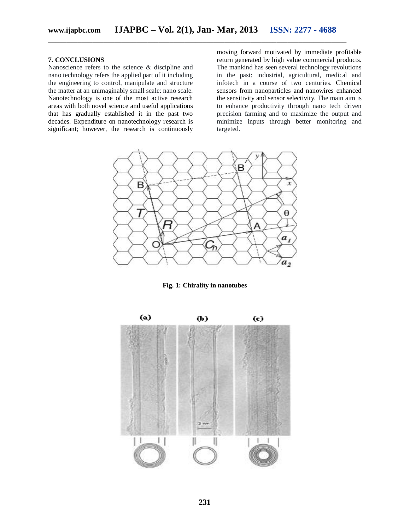#### **7. CONCLUSIONS**

Nanoscience refers to the science & discipline and nano technology refers the applied part of it including the engineering to control, manipulate and structure the matter at an unimaginably small scale: nano scale. Nanotechnology is one of the most active research areas with both novel science and useful applications that has gradually established it in the past two decades. Expenditure on nanotechnology research is significant; however, the research is continuously

moving forward motivated by immediate profitable return generated by high value commercial products. The mankind has seen several technology revolutions in the past: industrial, agricultural, medical and infotech in a course of two centuries. Chemical sensors from nanoparticles and nanowires enhanced the sensitivity and sensor selectivity. The main aim is to enhance productivity through nano tech driven precision farming and to maximize the output and minimize inputs through better monitoring and targeted.



**Fig. 1: Chirality in nanotubes**

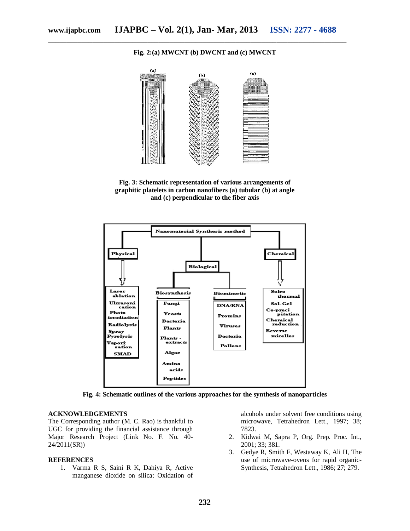**Fig. 2:(a) MWCNT (b) DWCNT and (c) MWCNT**



**Fig. 3: Schematic representation of various arrangements of graphitic platelets in carbon nanofibers (a) tubular (b) at angle and (c) perpendicular to the fiber axis**



**Fig. 4: Schematic outlines of the various approaches for the synthesis of nanoparticles**

#### **ACKNOWLEDGEMENTS**

The Corresponding author (M. C. Rao) is thankful to UGC for providing the financial assistance through Major Research Project (Link No. F. No. 40- 24/2011(SR))

#### **REFERENCES**

1. Varma R S, Saini R K, Dahiya R, Active manganese dioxide on silica: Oxidation of

alcohols under solvent free conditions using microwave, Tetrahedron Lett., 1997; 38; 7823.

- 2. Kidwai M, Sapra P, Org. Prep. Proc. Int., 2001; 33; 381.
- 3. Gedye R, Smith F, Westaway K, Ali H, The use of microwave-ovens for rapid organic-Synthesis, Tetrahedron Lett., 1986; 27; 279.